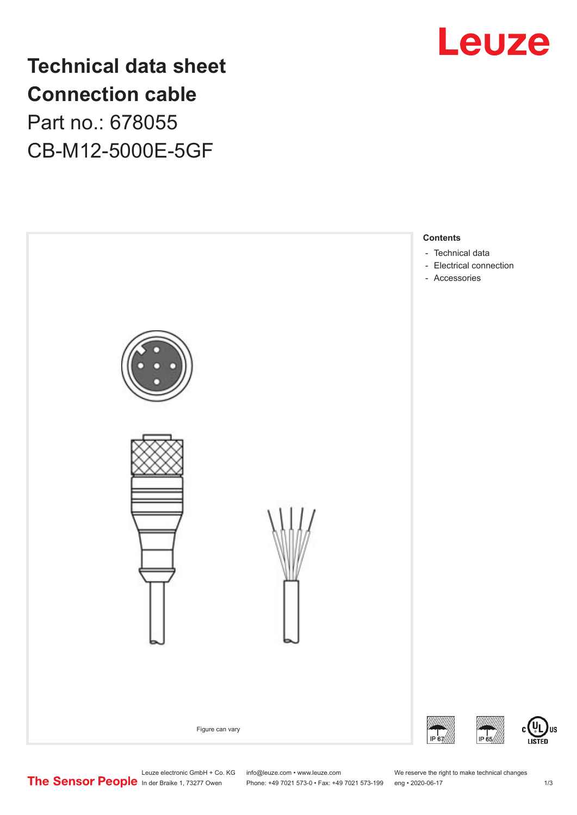

**Technical data sheet Connection cable** Part no.: 678055 CB-M12-5000E-5GF



Leuze electronic GmbH + Co. KG info@leuze.com • www.leuze.com We reserve the right to make technical changes<br>
The Sensor People in der Braike 1, 73277 Owen Phone: +49 7021 573-0 • Fax: +49 7021 573-199 eng • 2020-06-17

Phone: +49 7021 573-0 • Fax: +49 7021 573-199 eng • 2020-06-17

US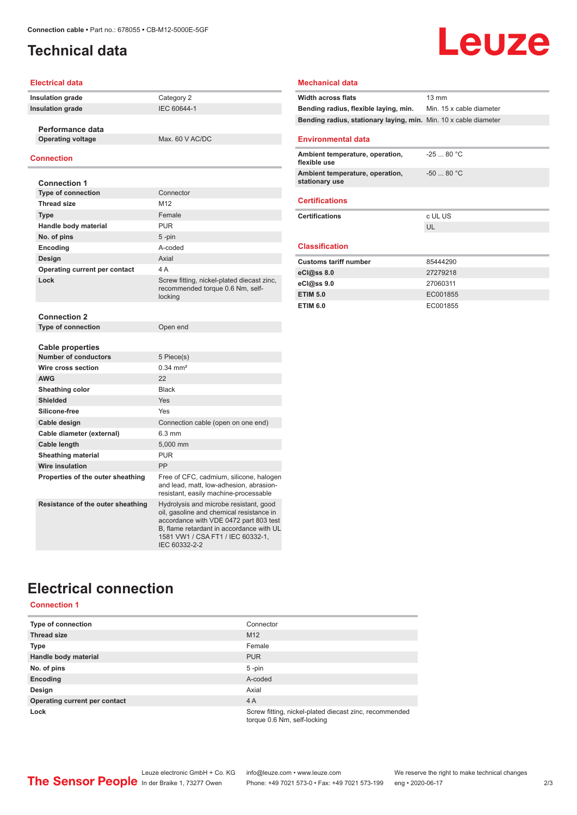# <span id="page-1-0"></span>**Technical data**

#### **Electrical data**

| Insulation grade |  |
|------------------|--|
| Insulation grade |  |

**Performance data**

**Operating voltage** Max. 60 V AC/DC

#### **Connection**

| <b>Connection 1</b>               |                                                                                                                                                                                                               |
|-----------------------------------|---------------------------------------------------------------------------------------------------------------------------------------------------------------------------------------------------------------|
| <b>Type of connection</b>         | Connector                                                                                                                                                                                                     |
| <b>Thread size</b>                | M12                                                                                                                                                                                                           |
| <b>Type</b>                       | Female                                                                                                                                                                                                        |
| Handle body material              | <b>PUR</b>                                                                                                                                                                                                    |
| No. of pins                       | $5 - pin$                                                                                                                                                                                                     |
| Encoding                          | A-coded                                                                                                                                                                                                       |
| Design                            | Axial                                                                                                                                                                                                         |
| Operating current per contact     | 4A                                                                                                                                                                                                            |
| Lock                              | Screw fitting, nickel-plated diecast zinc,<br>recommended torque 0.6 Nm, self-<br>locking                                                                                                                     |
| <b>Connection 2</b>               |                                                                                                                                                                                                               |
| <b>Type of connection</b>         | Open end                                                                                                                                                                                                      |
|                                   |                                                                                                                                                                                                               |
| <b>Cable properties</b>           |                                                                                                                                                                                                               |
| <b>Number of conductors</b>       | 5 Piece(s)                                                                                                                                                                                                    |
| Wire cross section                | $0.34 \, \text{mm}^2$                                                                                                                                                                                         |
| <b>AWG</b>                        | 22                                                                                                                                                                                                            |
| Sheathing color                   | <b>Black</b>                                                                                                                                                                                                  |
| <b>Shielded</b>                   | Yes                                                                                                                                                                                                           |
| Silicone-free                     | Yes                                                                                                                                                                                                           |
| Cable design                      | Connection cable (open on one end)                                                                                                                                                                            |
| Cable diameter (external)         | $6.3 \text{ mm}$                                                                                                                                                                                              |
| Cable length                      | 5.000 mm                                                                                                                                                                                                      |
| <b>Sheathing material</b>         | <b>PUR</b>                                                                                                                                                                                                    |
| Wire insulation                   | PP                                                                                                                                                                                                            |
| Properties of the outer sheathing | Free of CFC, cadmium, silicone, halogen<br>and lead, matt, low-adhesion, abrasion-<br>resistant, easily machine-processable                                                                                   |
| Resistance of the outer sheathing | Hydrolysis and microbe resistant, good<br>oil, gasoline and chemical resistance in<br>accordance with VDE 0472 part 803 test<br>B, flame retardant in accordance with UL<br>1581 VW1 / CSA FT1 / IEC 60332-1. |

IEC 60332-2-2

**Category 2 Insulation grade** IEC 60644-1

# **Leuze**

#### **Mechanical data**

| Width across flats                                                    | $13 \text{ mm}$ |
|-----------------------------------------------------------------------|-----------------|
| <b>Bending radius, flexible laying, min.</b> Min. 15 x cable diameter |                 |
| Bending radius, stationary laying, min. Min. 10 x cable diameter      |                 |
|                                                                       |                 |
| <b>Environmental data</b>                                             |                 |
| Ambient temperature, operation,<br>flexible use                       | $-25$ 80 °C     |
| Ambient temperature, operation,<br>stationary use                     | $-50$ 80 °C     |
| <b>Certifications</b>                                                 |                 |
| <b>Certifications</b>                                                 | c UL US         |
|                                                                       | UL              |
|                                                                       |                 |
| <b>Classification</b>                                                 |                 |
| <b>Customs tariff number</b>                                          | 85444290        |
| eC <sub>1</sub> @ss8.0                                                | 27279218        |
| eCl@ss 9.0                                                            | 27060311        |
| <b>ETIM 5.0</b>                                                       | EC001855        |
| <b>ETIM 6.0</b>                                                       | EC001855        |

# **Electrical connection**

#### **Connection 1**

| Type of connection            | Connector                                                                             |
|-------------------------------|---------------------------------------------------------------------------------------|
| <b>Thread size</b>            | M <sub>12</sub>                                                                       |
| <b>Type</b>                   | Female                                                                                |
| Handle body material          | <b>PUR</b>                                                                            |
| No. of pins                   | $5$ -pin                                                                              |
| Encoding                      | A-coded                                                                               |
| Design                        | Axial                                                                                 |
| Operating current per contact | 4A                                                                                    |
| Lock                          | Screw fitting, nickel-plated diecast zinc, recommended<br>torque 0.6 Nm, self-locking |